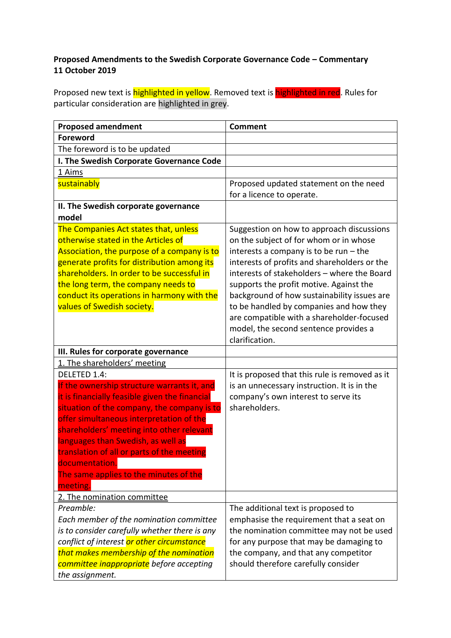## **Proposed Amendments to the Swedish Corporate Governance Code – Commentary 11 October 2019**

Proposed new text is **highlighted in yellow**. Removed text is **highlighted in red**. Rules for particular consideration are highlighted in grey.

| <b>Proposed amendment</b>                                                           | <b>Comment</b>                                                              |
|-------------------------------------------------------------------------------------|-----------------------------------------------------------------------------|
| <b>Foreword</b>                                                                     |                                                                             |
| The foreword is to be updated                                                       |                                                                             |
| I. The Swedish Corporate Governance Code                                            |                                                                             |
| 1 Aims                                                                              |                                                                             |
| sustainably                                                                         | Proposed updated statement on the need                                      |
|                                                                                     | for a licence to operate.                                                   |
| II. The Swedish corporate governance                                                |                                                                             |
| model                                                                               |                                                                             |
| The Companies Act states that, unless                                               | Suggestion on how to approach discussions                                   |
| otherwise stated in the Articles of                                                 | on the subject of for whom or in whose                                      |
| Association, the purpose of a company is to                                         | interests a company is to be run $-$ the                                    |
| generate profits for distribution among its                                         | interests of profits and shareholders or the                                |
| shareholders. In order to be successful in                                          | interests of stakeholders - where the Board                                 |
| the long term, the company needs to                                                 | supports the profit motive. Against the                                     |
| conduct its operations in harmony with the                                          | background of how sustainability issues are                                 |
| values of Swedish society.                                                          | to be handled by companies and how they                                     |
|                                                                                     | are compatible with a shareholder-focused                                   |
|                                                                                     | model, the second sentence provides a                                       |
|                                                                                     | clarification.                                                              |
| III. Rules for corporate governance                                                 |                                                                             |
| 1. The shareholders' meeting                                                        |                                                                             |
| DELETED 1.4:                                                                        | It is proposed that this rule is removed as it                              |
| If the ownership structure warrants it, and                                         | is an unnecessary instruction. It is in the                                 |
| it is financially feasible given the financial                                      | company's own interest to serve its                                         |
| situation of the company, the company is to                                         | shareholders.                                                               |
| offer simultaneous interpretation of the                                            |                                                                             |
| shareholders' meeting into other relevant                                           |                                                                             |
| languages than Swedish, as well as                                                  |                                                                             |
| translation of all or parts of the meeting<br>documentation.                        |                                                                             |
| The same applies to the minutes of the                                              |                                                                             |
| meeting.                                                                            |                                                                             |
| 2. The nomination committee                                                         |                                                                             |
| Preamble:                                                                           | The additional text is proposed to                                          |
| Each member of the nomination committee                                             |                                                                             |
| is to consider carefully whether there is any                                       |                                                                             |
| conflict of interest or other circumstance                                          | emphasise the requirement that a seat on                                    |
|                                                                                     | the nomination committee may not be used                                    |
|                                                                                     | for any purpose that may be damaging to                                     |
| that makes membership of the nomination<br>committee inappropriate before accepting | the company, and that any competitor<br>should therefore carefully consider |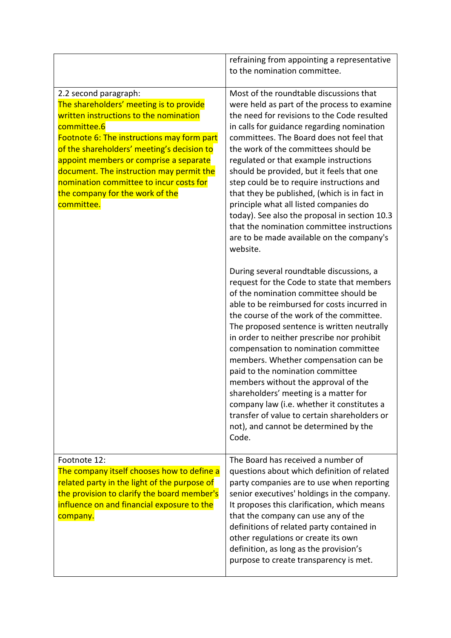|                                                                                                                                                                                                                                                                                                                                                                                                         | refraining from appointing a representative<br>to the nomination committee.                                                                                                                                                                                                                                                                                                                                                                                                                                                                                                                                                                                                |
|---------------------------------------------------------------------------------------------------------------------------------------------------------------------------------------------------------------------------------------------------------------------------------------------------------------------------------------------------------------------------------------------------------|----------------------------------------------------------------------------------------------------------------------------------------------------------------------------------------------------------------------------------------------------------------------------------------------------------------------------------------------------------------------------------------------------------------------------------------------------------------------------------------------------------------------------------------------------------------------------------------------------------------------------------------------------------------------------|
| 2.2 second paragraph:<br>The shareholders' meeting is to provide<br>written instructions to the nomination<br>committee.6<br>Footnote 6: The instructions may form part<br>of the shareholders' meeting's decision to<br>appoint members or comprise a separate<br>document. The instruction may permit the<br>nomination committee to incur costs for<br>the company for the work of the<br>committee. | Most of the roundtable discussions that<br>were held as part of the process to examine<br>the need for revisions to the Code resulted<br>in calls for guidance regarding nomination<br>committees. The Board does not feel that<br>the work of the committees should be<br>regulated or that example instructions<br>should be provided, but it feels that one<br>step could be to require instructions and<br>that they be published, (which is in fact in<br>principle what all listed companies do<br>today). See also the proposal in section 10.3<br>that the nomination committee instructions<br>are to be made available on the company's<br>website.              |
|                                                                                                                                                                                                                                                                                                                                                                                                         | During several roundtable discussions, a<br>request for the Code to state that members<br>of the nomination committee should be<br>able to be reimbursed for costs incurred in<br>the course of the work of the committee.<br>The proposed sentence is written neutrally<br>in order to neither prescribe nor prohibit<br>compensation to nomination committee<br>members. Whether compensation can be<br>paid to the nomination committee<br>members without the approval of the<br>shareholders' meeting is a matter for<br>company law (i.e. whether it constitutes a<br>transfer of value to certain shareholders or<br>not), and cannot be determined by the<br>Code. |
| Footnote 12:<br>The company itself chooses how to define a<br>related party in the light of the purpose of<br>the provision to clarify the board member's<br>influence on and financial exposure to the<br>company.                                                                                                                                                                                     | The Board has received a number of<br>questions about which definition of related<br>party companies are to use when reporting<br>senior executives' holdings in the company.<br>It proposes this clarification, which means<br>that the company can use any of the<br>definitions of related party contained in<br>other regulations or create its own<br>definition, as long as the provision's<br>purpose to create transparency is met.                                                                                                                                                                                                                                |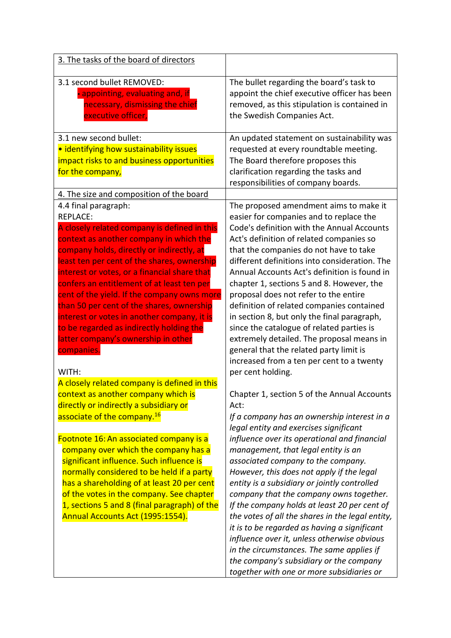| 3. The tasks of the board of directors                                                                                                                                                                                                                                                                                                                                                                                                                                                                                                                                                                                                                                                                                                                                                                                                                                                                                                                                                                                                                                                                                                                              |                                                                                                                                                                                                                                                                                                                                                                                                                                                                                                                                                                                                                                                                                                                                                                                                                                                                                                                                                                                                                                                                                                                                                                                                                                                                                                                                                                                      |
|---------------------------------------------------------------------------------------------------------------------------------------------------------------------------------------------------------------------------------------------------------------------------------------------------------------------------------------------------------------------------------------------------------------------------------------------------------------------------------------------------------------------------------------------------------------------------------------------------------------------------------------------------------------------------------------------------------------------------------------------------------------------------------------------------------------------------------------------------------------------------------------------------------------------------------------------------------------------------------------------------------------------------------------------------------------------------------------------------------------------------------------------------------------------|--------------------------------------------------------------------------------------------------------------------------------------------------------------------------------------------------------------------------------------------------------------------------------------------------------------------------------------------------------------------------------------------------------------------------------------------------------------------------------------------------------------------------------------------------------------------------------------------------------------------------------------------------------------------------------------------------------------------------------------------------------------------------------------------------------------------------------------------------------------------------------------------------------------------------------------------------------------------------------------------------------------------------------------------------------------------------------------------------------------------------------------------------------------------------------------------------------------------------------------------------------------------------------------------------------------------------------------------------------------------------------------|
| 3.1 second bullet REMOVED:<br>· appointing, evaluating and, if<br>necessary, dismissing the chief<br>executive officer,                                                                                                                                                                                                                                                                                                                                                                                                                                                                                                                                                                                                                                                                                                                                                                                                                                                                                                                                                                                                                                             | The bullet regarding the board's task to<br>appoint the chief executive officer has been<br>removed, as this stipulation is contained in<br>the Swedish Companies Act.                                                                                                                                                                                                                                                                                                                                                                                                                                                                                                                                                                                                                                                                                                                                                                                                                                                                                                                                                                                                                                                                                                                                                                                                               |
| 3.1 new second bullet:<br>• identifying how sustainability issues<br>impact risks to and business opportunities<br>for the company,                                                                                                                                                                                                                                                                                                                                                                                                                                                                                                                                                                                                                                                                                                                                                                                                                                                                                                                                                                                                                                 | An updated statement on sustainability was<br>requested at every roundtable meeting.<br>The Board therefore proposes this<br>clarification regarding the tasks and<br>responsibilities of company boards.                                                                                                                                                                                                                                                                                                                                                                                                                                                                                                                                                                                                                                                                                                                                                                                                                                                                                                                                                                                                                                                                                                                                                                            |
| 4. The size and composition of the board<br>4.4 final paragraph:<br><b>REPLACE:</b><br>A closely related company is defined in this<br>context as another company in which the<br>company holds, directly or indirectly, at<br>least ten per cent of the shares, ownership<br>interest or votes, or a financial share that<br>confers an entitlement of at least ten per<br>cent of the yield. If the company owns more<br>than 50 per cent of the shares, ownership<br>interest or votes in another company, it is<br>to be regarded as indirectly holding the<br>latter company's ownership in other<br>companies.<br>WITH:<br>A closely related company is defined in this<br>context as another company which is<br>directly or indirectly a subsidiary or<br>associate of the company. <sup>16</sup><br>Footnote 16: An associated company is a<br>company over which the company has a<br>significant influence. Such influence is<br>normally considered to be held if a party<br>has a shareholding of at least 20 per cent<br>of the votes in the company. See chapter<br>1, sections 5 and 8 (final paragraph) of the<br>Annual Accounts Act (1995:1554). | The proposed amendment aims to make it<br>easier for companies and to replace the<br>Code's definition with the Annual Accounts<br>Act's definition of related companies so<br>that the companies do not have to take<br>different definitions into consideration. The<br>Annual Accounts Act's definition is found in<br>chapter 1, sections 5 and 8. However, the<br>proposal does not refer to the entire<br>definition of related companies contained<br>in section 8, but only the final paragraph,<br>since the catalogue of related parties is<br>extremely detailed. The proposal means in<br>general that the related party limit is<br>increased from a ten per cent to a twenty<br>per cent holding.<br>Chapter 1, section 5 of the Annual Accounts<br>Act:<br>If a company has an ownership interest in a<br>legal entity and exercises significant<br>influence over its operational and financial<br>management, that legal entity is an<br>associated company to the company.<br>However, this does not apply if the legal<br>entity is a subsidiary or jointly controlled<br>company that the company owns together.<br>If the company holds at least 20 per cent of<br>the votes of all the shares in the legal entity,<br>it is to be regarded as having a significant<br>influence over it, unless otherwise obvious<br>in the circumstances. The same applies if |
|                                                                                                                                                                                                                                                                                                                                                                                                                                                                                                                                                                                                                                                                                                                                                                                                                                                                                                                                                                                                                                                                                                                                                                     | the company's subsidiary or the company<br>together with one or more subsidiaries or                                                                                                                                                                                                                                                                                                                                                                                                                                                                                                                                                                                                                                                                                                                                                                                                                                                                                                                                                                                                                                                                                                                                                                                                                                                                                                 |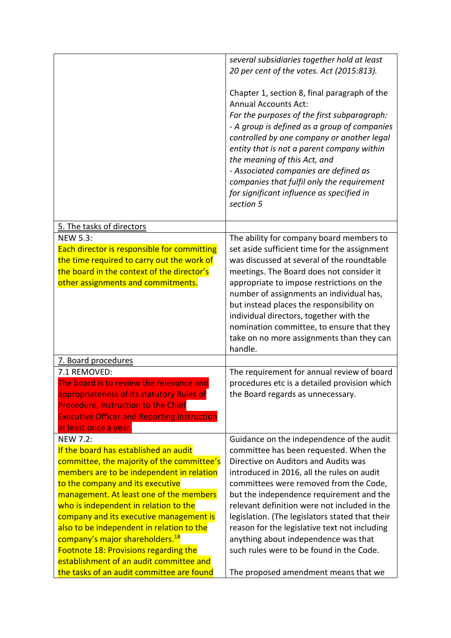|                                                                                                                                                                                                                                                                                                                                                                                                                                                                                                                                                            | several subsidiaries together hold at least<br>20 per cent of the votes. Act (2015:813).<br>Chapter 1, section 8, final paragraph of the<br><b>Annual Accounts Act:</b><br>For the purposes of the first subparagraph:<br>- A group is defined as a group of companies<br>controlled by one company or another legal<br>entity that is not a parent company within<br>the meaning of this Act, and<br>- Associated companies are defined as<br>companies that fulfil only the requirement<br>for significant influence as specified in<br>section 5 |
|------------------------------------------------------------------------------------------------------------------------------------------------------------------------------------------------------------------------------------------------------------------------------------------------------------------------------------------------------------------------------------------------------------------------------------------------------------------------------------------------------------------------------------------------------------|-----------------------------------------------------------------------------------------------------------------------------------------------------------------------------------------------------------------------------------------------------------------------------------------------------------------------------------------------------------------------------------------------------------------------------------------------------------------------------------------------------------------------------------------------------|
| 5. The tasks of directors                                                                                                                                                                                                                                                                                                                                                                                                                                                                                                                                  |                                                                                                                                                                                                                                                                                                                                                                                                                                                                                                                                                     |
| <b>NEW 5.3:</b><br>Each director is responsible for committing<br>the time required to carry out the work of<br>the board in the context of the director's<br>other assignments and commitments.                                                                                                                                                                                                                                                                                                                                                           | The ability for company board members to<br>set aside sufficient time for the assignment<br>was discussed at several of the roundtable<br>meetings. The Board does not consider it<br>appropriate to impose restrictions on the<br>number of assignments an individual has,<br>but instead places the responsibility on<br>individual directors, together with the<br>nomination committee, to ensure that they<br>take on no more assignments than they can<br>handle.                                                                             |
| 7. Board procedures                                                                                                                                                                                                                                                                                                                                                                                                                                                                                                                                        |                                                                                                                                                                                                                                                                                                                                                                                                                                                                                                                                                     |
| 7.1 REMOVED:<br>The board is to review the relevance and<br>appropriateness of its statutory Rules of<br><b>Procedure, Instruction to the Chief</b><br><b>Executive Officer and Reporting Instruction</b><br>at least once a year.                                                                                                                                                                                                                                                                                                                         | The requirement for annual review of board<br>procedures etc is a detailed provision which<br>the Board regards as unnecessary.                                                                                                                                                                                                                                                                                                                                                                                                                     |
| <b>NEW 7.2:</b><br>If the board has established an audit<br>committee, the majority of the committee's<br>members are to be independent in relation<br>to the company and its executive<br>management. At least one of the members<br>who is independent in relation to the<br>company and its executive management is<br>also to be independent in relation to the<br>company's major shareholders. <sup>18</sup><br><b>Footnote 18: Provisions regarding the</b><br>establishment of an audit committee and<br>the tasks of an audit committee are found | Guidance on the independence of the audit<br>committee has been requested. When the<br>Directive on Auditors and Audits was<br>introduced in 2016, all the rules on audit<br>committees were removed from the Code,<br>but the independence requirement and the<br>relevant definition were not included in the<br>legislation. (The legislators stated that their<br>reason for the legislative text not including<br>anything about independence was that<br>such rules were to be found in the Code.<br>The proposed amendment means that we     |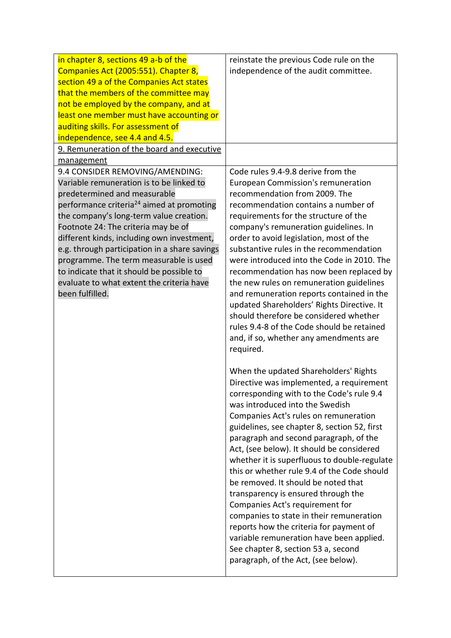| in chapter 8, sections 49 a-b of the                  | reinstate the previous Code rule on the      |
|-------------------------------------------------------|----------------------------------------------|
| Companies Act (2005:551). Chapter 8,                  | independence of the audit committee.         |
| section 49 a of the Companies Act states              |                                              |
| that the members of the committee may                 |                                              |
| not be employed by the company, and at                |                                              |
| least one member must have accounting or              |                                              |
| auditing skills. For assessment of                    |                                              |
| independence, see 4.4 and 4.5.                        |                                              |
| 9. Remuneration of the board and executive            |                                              |
| management                                            |                                              |
| 9.4 CONSIDER REMOVING/AMENDING:                       | Code rules 9.4-9.8 derive from the           |
| Variable remuneration is to be linked to              | European Commission's remuneration           |
| predetermined and measurable                          | recommendation from 2009. The                |
| performance criteria <sup>24</sup> aimed at promoting | recommendation contains a number of          |
| the company's long-term value creation.               | requirements for the structure of the        |
| Footnote 24: The criteria may be of                   | company's remuneration guidelines. In        |
| different kinds, including own investment,            | order to avoid legislation, most of the      |
| e.g. through participation in a share savings         | substantive rules in the recommendation      |
| programme. The term measurable is used                | were introduced into the Code in 2010. The   |
| to indicate that it should be possible to             | recommendation has now been replaced by      |
| evaluate to what extent the criteria have             | the new rules on remuneration guidelines     |
| been fulfilled.                                       | and remuneration reports contained in the    |
|                                                       | updated Shareholders' Rights Directive. It   |
|                                                       | should therefore be considered whether       |
|                                                       | rules 9.4-8 of the Code should be retained   |
|                                                       | and, if so, whether any amendments are       |
|                                                       | required.                                    |
|                                                       |                                              |
|                                                       | When the updated Shareholders' Rights        |
|                                                       | Directive was implemented, a requirement     |
|                                                       | corresponding with to the Code's rule 9.4    |
|                                                       | was introduced into the Swedish              |
|                                                       |                                              |
|                                                       | Companies Act's rules on remuneration        |
|                                                       | guidelines, see chapter 8, section 52, first |
|                                                       | paragraph and second paragraph, of the       |
|                                                       | Act, (see below). It should be considered    |
|                                                       | whether it is superfluous to double-regulate |
|                                                       | this or whether rule 9.4 of the Code should  |
|                                                       | be removed. It should be noted that          |
|                                                       | transparency is ensured through the          |
|                                                       | Companies Act's requirement for              |
|                                                       | companies to state in their remuneration     |
|                                                       | reports how the criteria for payment of      |
|                                                       | variable remuneration have been applied.     |
|                                                       | See chapter 8, section 53 a, second          |
|                                                       | paragraph, of the Act, (see below).          |
|                                                       |                                              |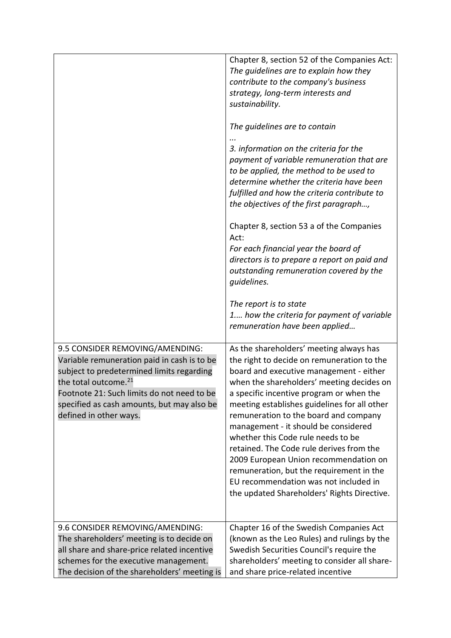| 9.5 CONSIDER REMOVING/AMENDING:                                                                                                                                                                                                                    | Chapter 8, section 52 of the Companies Act:<br>The guidelines are to explain how they<br>contribute to the company's business<br>strategy, long-term interests and<br>sustainability.<br>The guidelines are to contain<br>3. information on the criteria for the<br>payment of variable remuneration that are<br>to be applied, the method to be used to<br>determine whether the criteria have been<br>fulfilled and how the criteria contribute to<br>the objectives of the first paragraph,<br>Chapter 8, section 53 a of the Companies<br>Act:<br>For each financial year the board of<br>directors is to prepare a report on paid and<br>outstanding remuneration covered by the<br>guidelines.<br>The report is to state<br>1 how the criteria for payment of variable<br>remuneration have been applied<br>As the shareholders' meeting always has |
|----------------------------------------------------------------------------------------------------------------------------------------------------------------------------------------------------------------------------------------------------|-----------------------------------------------------------------------------------------------------------------------------------------------------------------------------------------------------------------------------------------------------------------------------------------------------------------------------------------------------------------------------------------------------------------------------------------------------------------------------------------------------------------------------------------------------------------------------------------------------------------------------------------------------------------------------------------------------------------------------------------------------------------------------------------------------------------------------------------------------------|
| Variable remuneration paid in cash is to be<br>subject to predetermined limits regarding<br>the total outcome. <sup>21</sup><br>Footnote 21: Such limits do not need to be<br>specified as cash amounts, but may also be<br>defined in other ways. | the right to decide on remuneration to the<br>board and executive management - either<br>when the shareholders' meeting decides on<br>a specific incentive program or when the<br>meeting establishes guidelines for all other<br>remuneration to the board and company<br>management - it should be considered<br>whether this Code rule needs to be<br>retained. The Code rule derives from the<br>2009 European Union recommendation on<br>remuneration, but the requirement in the<br>EU recommendation was not included in<br>the updated Shareholders' Rights Directive.                                                                                                                                                                                                                                                                            |
| 9.6 CONSIDER REMOVING/AMENDING:<br>The shareholders' meeting is to decide on                                                                                                                                                                       | Chapter 16 of the Swedish Companies Act<br>(known as the Leo Rules) and rulings by the                                                                                                                                                                                                                                                                                                                                                                                                                                                                                                                                                                                                                                                                                                                                                                    |
| all share and share-price related incentive                                                                                                                                                                                                        | Swedish Securities Council's require the                                                                                                                                                                                                                                                                                                                                                                                                                                                                                                                                                                                                                                                                                                                                                                                                                  |
| schemes for the executive management.<br>The decision of the shareholders' meeting is                                                                                                                                                              | shareholders' meeting to consider all share-<br>and share price-related incentive                                                                                                                                                                                                                                                                                                                                                                                                                                                                                                                                                                                                                                                                                                                                                                         |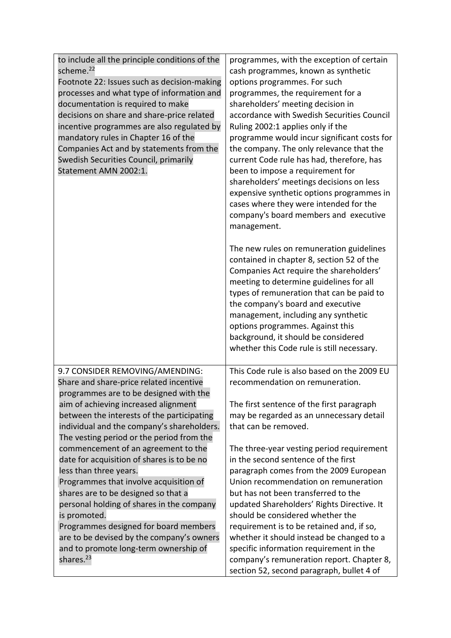| to include all the principle conditions of the<br>scheme. <sup>22</sup><br>Footnote 22: Issues such as decision-making<br>processes and what type of information and<br>documentation is required to make<br>decisions on share and share-price related<br>incentive programmes are also regulated by<br>mandatory rules in Chapter 16 of the<br>Companies Act and by statements from the<br>Swedish Securities Council, primarily<br>Statement AMN 2002:1.                                                                                                                                                                                                                                                                | programmes, with the exception of certain<br>cash programmes, known as synthetic<br>options programmes. For such<br>programmes, the requirement for a<br>shareholders' meeting decision in<br>accordance with Swedish Securities Council<br>Ruling 2002:1 applies only if the<br>programme would incur significant costs for<br>the company. The only relevance that the<br>current Code rule has had, therefore, has<br>been to impose a requirement for<br>shareholders' meetings decisions on less<br>expensive synthetic options programmes in<br>cases where they were intended for the<br>company's board members and executive<br>management.<br>The new rules on remuneration guidelines<br>contained in chapter 8, section 52 of the<br>Companies Act require the shareholders'<br>meeting to determine guidelines for all<br>types of remuneration that can be paid to<br>the company's board and executive<br>management, including any synthetic<br>options programmes. Against this<br>background, it should be considered<br>whether this Code rule is still necessary. |
|----------------------------------------------------------------------------------------------------------------------------------------------------------------------------------------------------------------------------------------------------------------------------------------------------------------------------------------------------------------------------------------------------------------------------------------------------------------------------------------------------------------------------------------------------------------------------------------------------------------------------------------------------------------------------------------------------------------------------|---------------------------------------------------------------------------------------------------------------------------------------------------------------------------------------------------------------------------------------------------------------------------------------------------------------------------------------------------------------------------------------------------------------------------------------------------------------------------------------------------------------------------------------------------------------------------------------------------------------------------------------------------------------------------------------------------------------------------------------------------------------------------------------------------------------------------------------------------------------------------------------------------------------------------------------------------------------------------------------------------------------------------------------------------------------------------------------|
| 9.7 CONSIDER REMOVING/AMENDING:<br>Share and share-price related incentive<br>programmes are to be designed with the<br>aim of achieving increased alignment<br>between the interests of the participating<br>individual and the company's shareholders.<br>The vesting period or the period from the<br>commencement of an agreement to the<br>date for acquisition of shares is to be no<br>less than three years.<br>Programmes that involve acquisition of<br>shares are to be designed so that a<br>personal holding of shares in the company<br>is promoted.<br>Programmes designed for board members<br>are to be devised by the company's owners<br>and to promote long-term ownership of<br>shares. <sup>23</sup> | This Code rule is also based on the 2009 EU<br>recommendation on remuneration.<br>The first sentence of the first paragraph<br>may be regarded as an unnecessary detail<br>that can be removed.<br>The three-year vesting period requirement<br>in the second sentence of the first<br>paragraph comes from the 2009 European<br>Union recommendation on remuneration<br>but has not been transferred to the<br>updated Shareholders' Rights Directive. It<br>should be considered whether the<br>requirement is to be retained and, if so,<br>whether it should instead be changed to a<br>specific information requirement in the<br>company's remuneration report. Chapter 8,<br>section 52, second paragraph, bullet 4 of                                                                                                                                                                                                                                                                                                                                                         |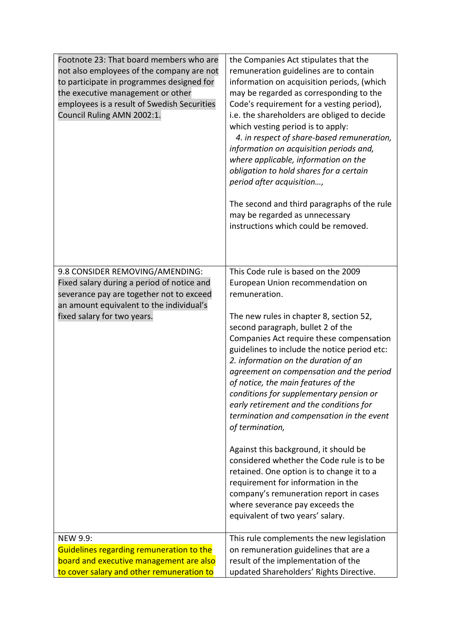| Footnote 23: That board members who are<br>not also employees of the company are not<br>to participate in programmes designed for<br>the executive management or other<br>employees is a result of Swedish Securities<br>Council Ruling AMN 2002:1. | the Companies Act stipulates that the<br>remuneration guidelines are to contain<br>information on acquisition periods, (which<br>may be regarded as corresponding to the<br>Code's requirement for a vesting period),<br>i.e. the shareholders are obliged to decide<br>which vesting period is to apply:<br>4. in respect of share-based remuneration,<br>information on acquisition periods and,<br>where applicable, information on the<br>obligation to hold shares for a certain<br>period after acquisition,<br>The second and third paragraphs of the rule<br>may be regarded as unnecessary<br>instructions which could be removed.                                                                                                                                                                                                     |
|-----------------------------------------------------------------------------------------------------------------------------------------------------------------------------------------------------------------------------------------------------|-------------------------------------------------------------------------------------------------------------------------------------------------------------------------------------------------------------------------------------------------------------------------------------------------------------------------------------------------------------------------------------------------------------------------------------------------------------------------------------------------------------------------------------------------------------------------------------------------------------------------------------------------------------------------------------------------------------------------------------------------------------------------------------------------------------------------------------------------|
| 9.8 CONSIDER REMOVING/AMENDING:<br>Fixed salary during a period of notice and<br>severance pay are together not to exceed<br>an amount equivalent to the individual's<br>fixed salary for two years.                                                | This Code rule is based on the 2009<br>European Union recommendation on<br>remuneration.<br>The new rules in chapter 8, section 52,<br>second paragraph, bullet 2 of the<br>Companies Act require these compensation<br>guidelines to include the notice period etc:<br>2. information on the duration of an<br>agreement on compensation and the period<br>of notice, the main features of the<br>conditions for supplementary pension or<br>early retirement and the conditions for<br>termination and compensation in the event<br>of termination,<br>Against this background, it should be<br>considered whether the Code rule is to be<br>retained. One option is to change it to a<br>requirement for information in the<br>company's remuneration report in cases<br>where severance pay exceeds the<br>equivalent of two years' salary. |
| <b>NEW 9.9:</b><br>Guidelines regarding remuneration to the<br>board and executive management are also<br>to cover salary and other remuneration to                                                                                                 | This rule complements the new legislation<br>on remuneration guidelines that are a<br>result of the implementation of the<br>updated Shareholders' Rights Directive.                                                                                                                                                                                                                                                                                                                                                                                                                                                                                                                                                                                                                                                                            |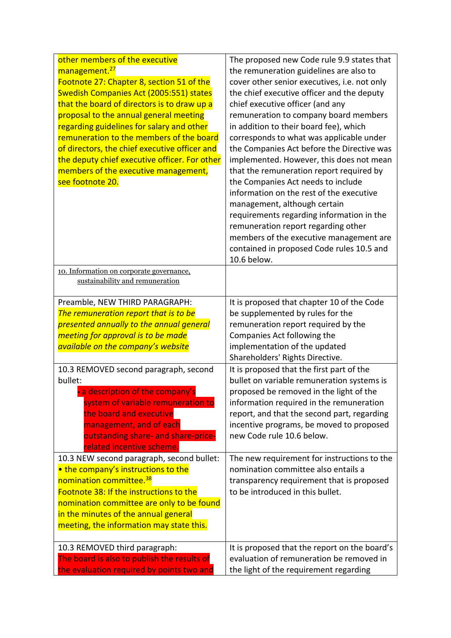| other members of the executive<br>management. <sup>27</sup><br>Footnote 27: Chapter 8, section 51 of the<br><b>Swedish Companies Act (2005:551) states</b><br>that the board of directors is to draw up a<br>proposal to the annual general meeting<br>regarding guidelines for salary and other<br>remuneration to the members of the board<br>of directors, the chief executive officer and<br>the deputy chief executive officer. For other<br>members of the executive management,<br>see footnote 20. | The proposed new Code rule 9.9 states that<br>the remuneration guidelines are also to<br>cover other senior executives, i.e. not only<br>the chief executive officer and the deputy<br>chief executive officer (and any<br>remuneration to company board members<br>in addition to their board fee), which<br>corresponds to what was applicable under<br>the Companies Act before the Directive was<br>implemented. However, this does not mean<br>that the remuneration report required by<br>the Companies Act needs to include<br>information on the rest of the executive<br>management, although certain<br>requirements regarding information in the<br>remuneration report regarding other |
|------------------------------------------------------------------------------------------------------------------------------------------------------------------------------------------------------------------------------------------------------------------------------------------------------------------------------------------------------------------------------------------------------------------------------------------------------------------------------------------------------------|----------------------------------------------------------------------------------------------------------------------------------------------------------------------------------------------------------------------------------------------------------------------------------------------------------------------------------------------------------------------------------------------------------------------------------------------------------------------------------------------------------------------------------------------------------------------------------------------------------------------------------------------------------------------------------------------------|
|                                                                                                                                                                                                                                                                                                                                                                                                                                                                                                            | members of the executive management are<br>contained in proposed Code rules 10.5 and<br>10.6 below.                                                                                                                                                                                                                                                                                                                                                                                                                                                                                                                                                                                                |
| 10. Information on corporate governance.<br>sustainability and remuneration                                                                                                                                                                                                                                                                                                                                                                                                                                |                                                                                                                                                                                                                                                                                                                                                                                                                                                                                                                                                                                                                                                                                                    |
| Preamble, NEW THIRD PARAGRAPH:<br>The remuneration report that is to be<br>presented annually to the annual general<br>meeting for approval is to be made<br>available on the company's website                                                                                                                                                                                                                                                                                                            | It is proposed that chapter 10 of the Code<br>be supplemented by rules for the<br>remuneration report required by the<br>Companies Act following the<br>implementation of the updated<br>Shareholders' Rights Directive.                                                                                                                                                                                                                                                                                                                                                                                                                                                                           |
| 10.3 REMOVED second paragraph, second<br>bullet:<br>a description of the company's<br>system of variable remuneration to<br>the board and executive<br>management, and of each<br>outstanding share- and share-price-<br>related incentive scheme                                                                                                                                                                                                                                                          | It is proposed that the first part of the<br>bullet on variable remuneration systems is<br>proposed be removed in the light of the<br>information required in the remuneration<br>report, and that the second part, regarding<br>incentive programs, be moved to proposed<br>new Code rule 10.6 below.                                                                                                                                                                                                                                                                                                                                                                                             |
| 10.3 NEW second paragraph, second bullet:<br>• the company's instructions to the<br>nomination committee. <sup>38</sup><br>Footnote 38: If the instructions to the<br>nomination committee are only to be found<br>in the minutes of the annual general<br>meeting, the information may state this.                                                                                                                                                                                                        | The new requirement for instructions to the<br>nomination committee also entails a<br>transparency requirement that is proposed<br>to be introduced in this bullet.                                                                                                                                                                                                                                                                                                                                                                                                                                                                                                                                |
| 10.3 REMOVED third paragraph:<br>The board is also to publish the results of<br>the evaluation required by points two and                                                                                                                                                                                                                                                                                                                                                                                  | It is proposed that the report on the board's<br>evaluation of remuneration be removed in<br>the light of the requirement regarding                                                                                                                                                                                                                                                                                                                                                                                                                                                                                                                                                                |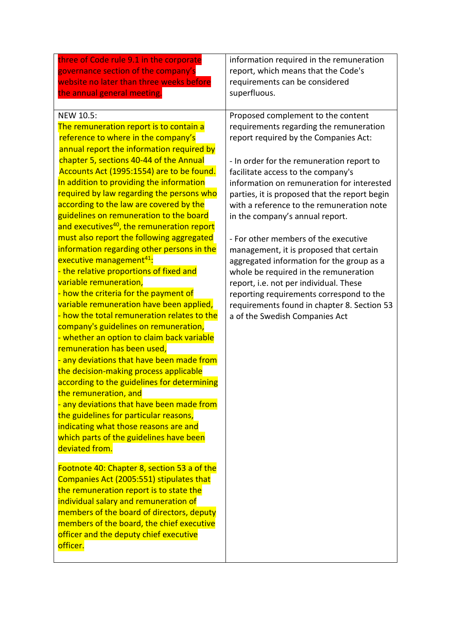| information required in the remuneration<br>report, which means that the Code's<br>requirements can be considered<br>superfluous.                                                                                                                                                                                                                                                                                                                                                                                                                                                                                                                                                                                                        |
|------------------------------------------------------------------------------------------------------------------------------------------------------------------------------------------------------------------------------------------------------------------------------------------------------------------------------------------------------------------------------------------------------------------------------------------------------------------------------------------------------------------------------------------------------------------------------------------------------------------------------------------------------------------------------------------------------------------------------------------|
| Proposed complement to the content<br>requirements regarding the remuneration<br>report required by the Companies Act:<br>- In order for the remuneration report to<br>facilitate access to the company's<br>information on remuneration for interested<br>parties, it is proposed that the report begin<br>with a reference to the remuneration note<br>in the company's annual report.<br>- For other members of the executive<br>management, it is proposed that certain<br>aggregated information for the group as a<br>whole be required in the remuneration<br>report, i.e. not per individual. These<br>reporting requirements correspond to the<br>requirements found in chapter 8. Section 53<br>a of the Swedish Companies Act |
|                                                                                                                                                                                                                                                                                                                                                                                                                                                                                                                                                                                                                                                                                                                                          |
|                                                                                                                                                                                                                                                                                                                                                                                                                                                                                                                                                                                                                                                                                                                                          |